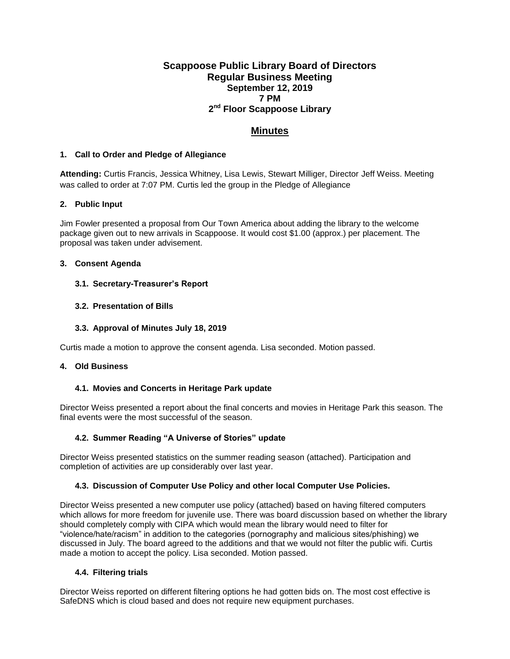# **Scappoose Public Library Board of Directors Regular Business Meeting September 12, 2019 7 PM 2 nd Floor Scappoose Library**

# **Minutes**

# **1. Call to Order and Pledge of Allegiance**

**Attending:** Curtis Francis, Jessica Whitney, Lisa Lewis, Stewart Milliger, Director Jeff Weiss. Meeting was called to order at 7:07 PM. Curtis led the group in the Pledge of Allegiance

# **2. Public Input**

Jim Fowler presented a proposal from Our Town America about adding the library to the welcome package given out to new arrivals in Scappoose. It would cost \$1.00 (approx.) per placement. The proposal was taken under advisement.

## **3. Consent Agenda**

# **3.1. Secretary-Treasurer's Report**

# **3.2. Presentation of Bills**

## **3.3. Approval of Minutes July 18, 2019**

Curtis made a motion to approve the consent agenda. Lisa seconded. Motion passed.

#### **4. Old Business**

# **4.1. Movies and Concerts in Heritage Park update**

Director Weiss presented a report about the final concerts and movies in Heritage Park this season. The final events were the most successful of the season.

# **4.2. Summer Reading "A Universe of Stories" update**

Director Weiss presented statistics on the summer reading season (attached). Participation and completion of activities are up considerably over last year.

#### **4.3. Discussion of Computer Use Policy and other local Computer Use Policies.**

Director Weiss presented a new computer use policy (attached) based on having filtered computers which allows for more freedom for juvenile use. There was board discussion based on whether the library should completely comply with CIPA which would mean the library would need to filter for "violence/hate/racism" in addition to the categories (pornography and malicious sites/phishing) we discussed in July. The board agreed to the additions and that we would not filter the public wifi. Curtis made a motion to accept the policy. Lisa seconded. Motion passed.

#### **4.4. Filtering trials**

Director Weiss reported on different filtering options he had gotten bids on. The most cost effective is SafeDNS which is cloud based and does not require new equipment purchases.